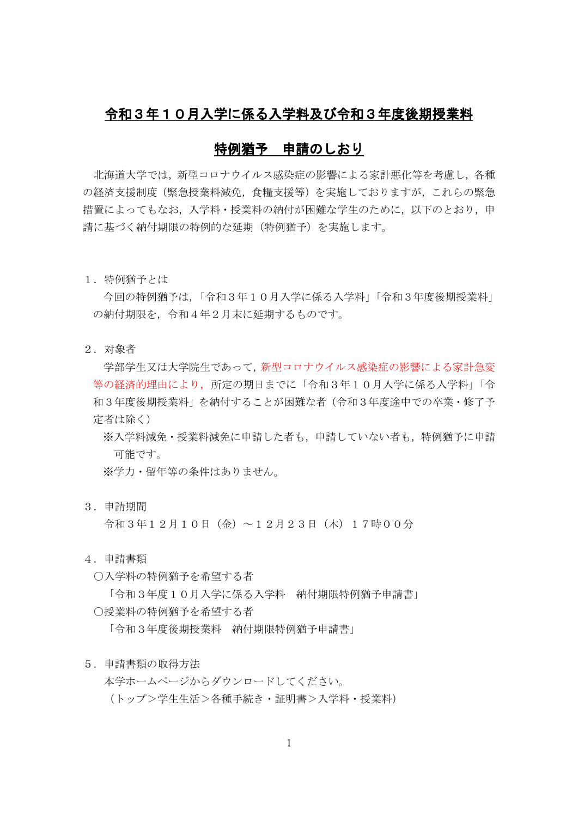## 令和3年10月入学に係る入学料及び令和3年度後期授業料

### 特例猶予 申請のしおり

北海道大学では,新型コロナウイルス感染症の影響による家計悪化等を考慮し,各種 の経済支援制度(緊急授業料減免,食糧支援等)を実施しておりますが,これらの緊急 措置によってもなお、入学料・授業料の納付が困難な学生のために、以下のとおり、申 請に基づく納付期限の特例的な延期(特例猶予)を実施します。

1.特例猶予とは

今回の特例猶予は,「令和3年10月入学に係る入学料」「令和3年度後期授業料」 の納付期限を,令和4年2月末に延期するものです。

2.対象者

学部学生又は大学院生であって,新型コロナウイルス感染症の影響による家計急変 等の経済的理由により,所定の期日までに「令和3年10月入学に係る入学料」「令 和3年度後期授業料」を納付することが困難な者(令和3年度途中での卒業・修了予 定者は除く)

※入学料減免・授業料減免に申請した者も、申請していない者も、特例猶予に申請 可能です。

※学力・留年等の条件はありません。

3.申請期間

令和3年12月10日(金)~12月23日(木)17時00分

- 4.申請書類
	- ○入学料の特例猶予を希望する者

「令和3年度10月入学に係る入学料 納付期限特例猶予申請書」

○授業料の特例猶予を希望する者

「令和3年度後期授業料 納付期限特例猶予申請書」

#### 5.申請書類の取得方法

本学ホームページからダウンロードしてください。 (トップ>学生生活>各種手続き・証明書>入学料・授業料)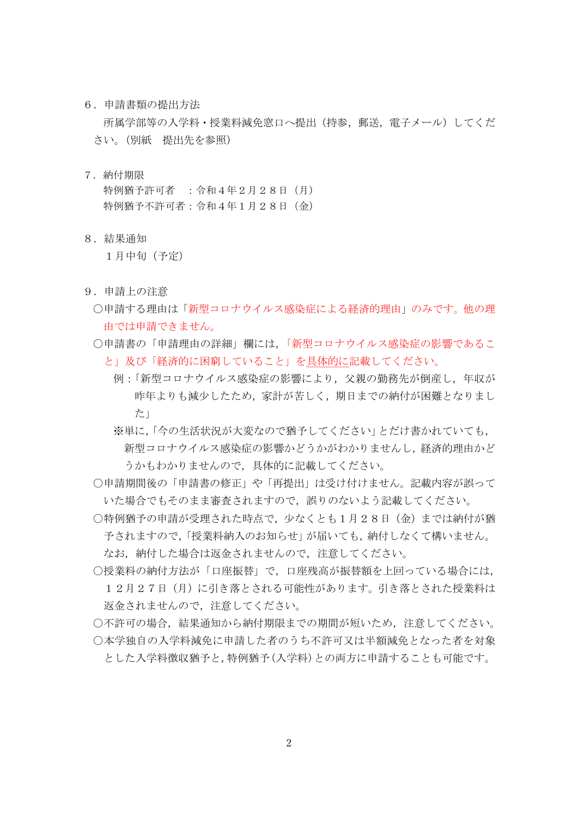6.申請書類の提出方法

所属学部等の入学料・授業料減免窓口へ提出(持参,郵送,電子メール)してくだ さい。(別紙 提出先を参照)

- 7.納付期限 特例猶予許可者 :令和4年2月28日(月) 特例猶予不許可者:令和4年1月28日(金)
- 8.結果通知

1月中旬(予定)

- 9.申請上の注意
	- ○申請する理由は「新型コロナウイルス感染症による経済的理由」のみです。他の理 由では申請できません。
	- ○申請書の「申請理由の詳細」欄には、「新型コロナウイルス感染症の影響であるこ と」及び「経済的に困窮していること」を具体的に記載してください。
		- 例:「新型コロナウイルス感染症の影響により,父親の勤務先が倒産し,年収が 昨年よりも減少したため、家計が苦しく、期日までの納付が困難となりまし た」
		- ※単に,「今の生活状況が大変なので猶予してください」とだけ書かれていても, 新型コロナウイルス感染症の影響かどうかがわかりませんし,経済的理由かど うかもわかりませんので,具体的に記載してください。
	- ○申請期間後の「申請書の修正」や「再提出」は受け付けません。記載内容が誤って いた場合でもそのまま審査されますので,誤りのないよう記載してください。
	- ○特例猶予の申請が受理された時点で、少なくとも1月28日(金)までは納付が猶 予されますので,「授業料納入のお知らせ」が届いても,納付しなくて構いません。 なお,納付した場合は返金されませんので,注意してください。
	- ○授業料の納付方法が「口座振替」で,口座残高が振替額を上回っている場合には, 12月27日(月)に引き落とされる可能性があります。引き落とされた授業料は 返金されませんので,注意してください。
	- ○不許可の場合、結果通知から納付期限までの期間が短いため、注意してください。 ○本学独自の入学料減免に申請した者のうち不許可又は半額減免となった者を対象
		- とした入学料徴収猶予と,特例猶予(入学料)との両方に申請することも可能です。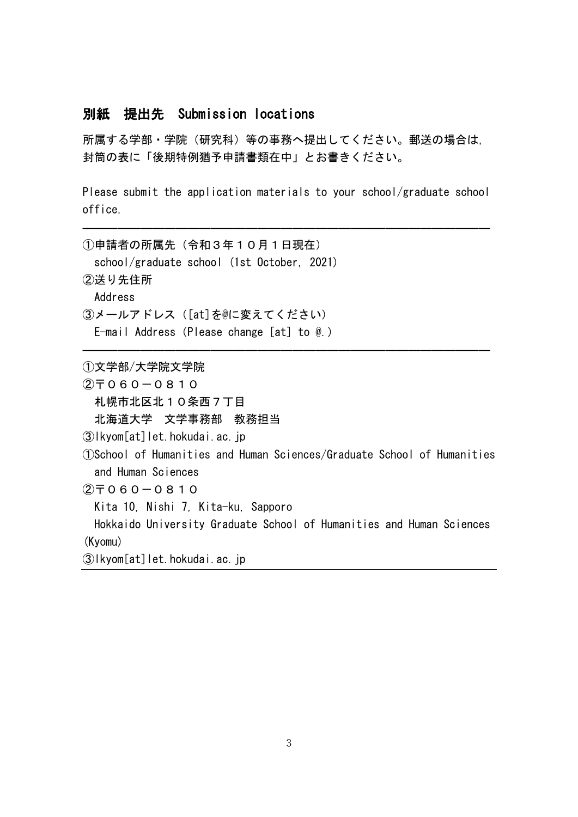## 別紙 提出先 Submission locations

所属する学部・学院(研究科)等の事務へ提出してください。郵送の場合は, 封筒の表に「後期特例猶予申請書類在中」とお書きください。

Please submit the application materials to your school/graduate school office.

―――――――――――――――――――――――――――――――――――

―――――――――――――――――――――――――――――――――――

①申請者の所属先(令和3年10月1日現在) school/graduate school (1st October, 2021) ②送り先住所 Address ③メールアドレス([at]を@に変えてください) E-mail Address(Please change [at] to @.)

①文学部/大学院文学院

 $(2)$   $\overline{7}$  0 6 0  $-$  0 8 1 0 札幌市北区北10条西7丁目 北海道大学 文学事務部 教務担当 ③lkyom[at]let.hokudai.ac.jp ①School of Humanities and Human Sciences/Graduate School of Humanities and Human Sciences  $(2)$   $\overline{7}$  0 6 0 - 0 8 1 0 Kita 10, Nishi 7, Kita-ku, Sapporo Hokkaido University Graduate School of Humanities and Human Sciences (Kyomu)

```
③lkyom[at]let.hokudai.ac.jp
```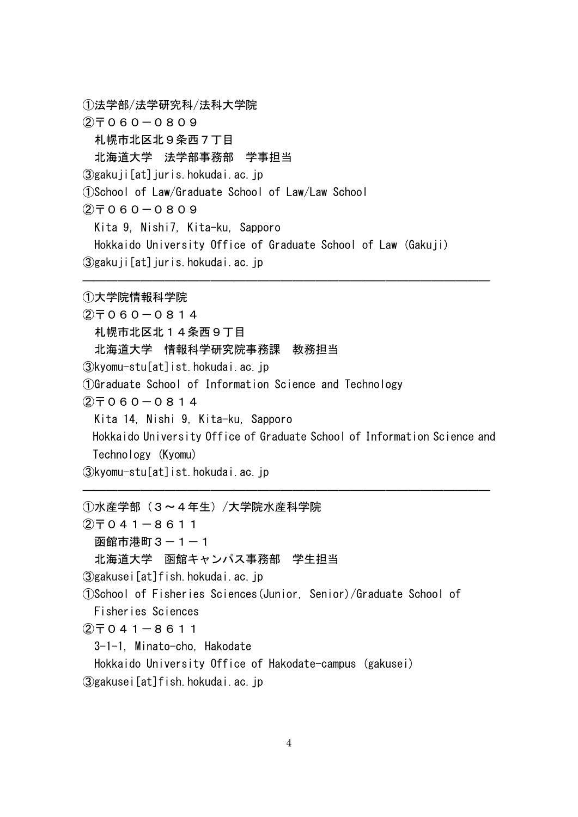①法学部/法学研究科/法科大学院

 $(2)$ <sup> $\top$ </sub>060-0809</sup>

札幌市北区北9条西7丁目

北海道大学 法学部事務部 学事担当

③gakuji[at]juris.hokudai.ac.jp

①School of Law/Graduate School of Law/Law School

 $(2)$   $\overline{7}$  0 6 0  $-$  0 8 0 9

Kita 9, Nishi7, Kita-ku, Sapporo

Hokkaido University Office of Graduate School of Law (Gakuji)

③gakuji[at]juris.hokudai.ac.jp

①大学院情報科学院  $(2)$   $\overline{7}$  060  $-$  0814 札幌市北区北14条西9丁目 北海道大学 情報科学研究院事務課 教務担当 ③kyomu-stu[at]ist.hokudai.ac.jp ①Graduate School of Information Science and Technology  $(2)$   $\overline{7}$  0 6 0 - 0 8 1 4 Kita 14, Nishi 9, Kita-ku, Sapporo Hokkaido University Office of Graduate School of Information Science and Technology (Kyomu) ③kyomu-stu[at]ist.hokudai.ac.jp

―――――――――――――――――――――――――――――――――――

―――――――――――――――――――――――――――――――――――

①水産学部(3~4年生)/大学院水産科学院

 $(2)$   $\overline{7}$  0 4 1 - 8 6 1 1

```
函館市港町3-1-1
```
北海道大学 函館キャンパス事務部 学生担当

```
③gakusei[at]fish.hokudai.ac.jp
```
①School of Fisheries Sciences(Junior, Senior)/Graduate School of Fisheries Sciences

```
(2)<sup>\top</sup> 0 4 1 - 8 6 1 1
```

```
3-1-1, Minato-cho, Hakodate
```
Hokkaido University Office of Hakodate-campus (gakusei)

③gakusei[at]fish.hokudai.ac.jp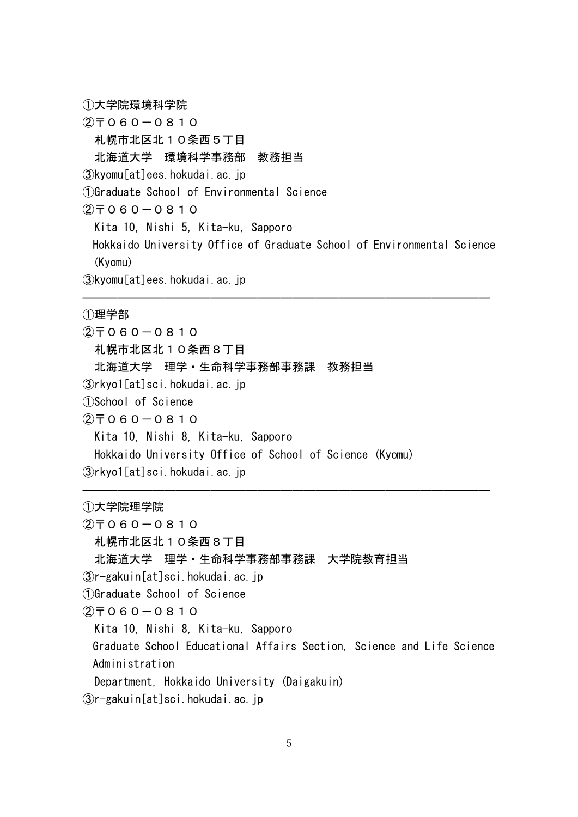①大学院環境科学院  $(2)$   $\overline{7}$  0 6 0 - 0 8 1 0 札幌市北区北10条西5丁目 北海道大学 環境科学事務部 教務担当 ③kyomu[at]ees.hokudai.ac.jp ①Graduate School of Environmental Science  $(2)$   $\overline{7}$  0 6 0 - 0 8 1 0 Kita 10, Nishi 5, Kita-ku, Sapporo Hokkaido University Office of Graduate School of Environmental Science (Kyomu) ③kyomu[at]ees.hokudai.ac.jp

―――――――――――――――――――――――――――――――――――

―――――――――――――――――――――――――――――――――――

①理学部

 $(2)$   $\overline{7}$  060  $-$  0810 札幌市北区北10条西8丁目 北海道大学 理学・生命科学事務部事務課 教務担当 ③rkyo1[at]sci.hokudai.ac.jp ①School of Science  $(2)$   $\overline{7}$  0 6 0 - 0 8 1 0 Kita 10, Nishi 8, Kita-ku, Sapporo Hokkaido University Office of School of Science (Kyomu) ③rkyo1[at]sci.hokudai.ac.jp

①大学院理学院

 $(2)$   $\overline{7}$  060  $-$  0810

札幌市北区北10条西8丁目

北海道大学 理学・生命科学事務部事務課 大学院教育担当

③r-gakuin[at]sci.hokudai.ac.jp

①Graduate School of Science

 $(2)$   $\overline{7}$  0 6 0 - 0 8 1 0

Kita 10, Nishi 8, Kita-ku, Sapporo

Graduate School Educational Affairs Section, Science and Life Science Administration

Department, Hokkaido University (Daigakuin)

③r-gakuin[at]sci.hokudai.ac.jp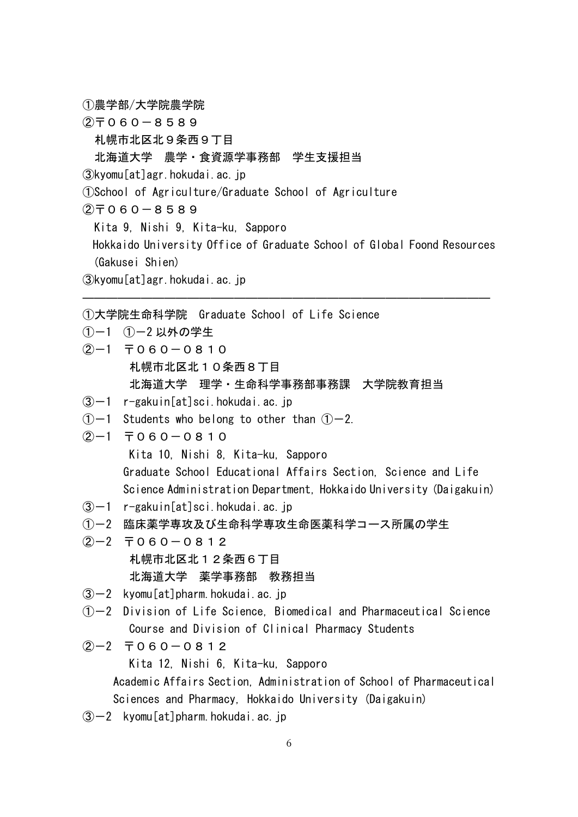①農学部/大学院農学院

 $(2)$ <sup> $\top$ </sup>060-8589

札幌市北区北9条西9丁目

北海道大学 農学・食資源学事務部 学生支援担当

③kyomu[at]agr.hokudai.ac.jp

①School of Agriculture/Graduate School of Agriculture

 $(2)$   $\overline{7}$  0 6 0  $-$  8 5 8 9

Kita 9, Nishi 9, Kita-ku, Sapporo

Hokkaido University Office of Graduate School of Global Foond Resources (Gakusei Shien)

―――――――――――――――――――――――――――――――――――

③kyomu[at]agr.hokudai.ac.jp

①大学院生命科学院 Graduate School of Life Science

①-1 ①-2 以外の学生

- $(2)-1$  〒060-0810 札幌市北区北10条西8丁目 北海道大学 理学・生命科学事務部事務課 大学院教育担当
- $(3)-1$  r-gakuin[at]sci.hokudai.ac.jp
- $(1)$  -1 Students who belong to other than  $(1)$  -2.

 $(2)-1$  〒060-0810

Kita 10, Nishi 8, Kita-ku, Sapporo Graduate School Educational Affairs Section, Science and Life Science Administration Department, Hokkaido University (Daigakuin)

 $\sqrt{3}$ -1 r-gakuin[at]sci.hokudai.ac.jp

①-2 臨床薬学専攻及び生命科学専攻生命医薬科学コース所属の学生

 $(2)-2$   $\overline{7}060-0812$ 札幌市北区北12条西6丁目

北海道大学 薬学事務部 教務担当

- $\sqrt{3}$  kyomu[at]pharm.hokudai.ac.jp
- $(1)$  -2 Division of Life Science, Biomedical and Pharmaceutical Science Course and Division of Clinical Pharmacy Students

# $(2)-2$   $\overline{7}060-0812$ Kita 12, Nishi 6, Kita-ku, Sapporo Academic Affairs Section, Administration of School of Pharmaceutical Sciences and Pharmacy, Hokkaido University (Daigakuin)

 $\sqrt{3}$  kyomu[at]pharm.hokudai.ac.jp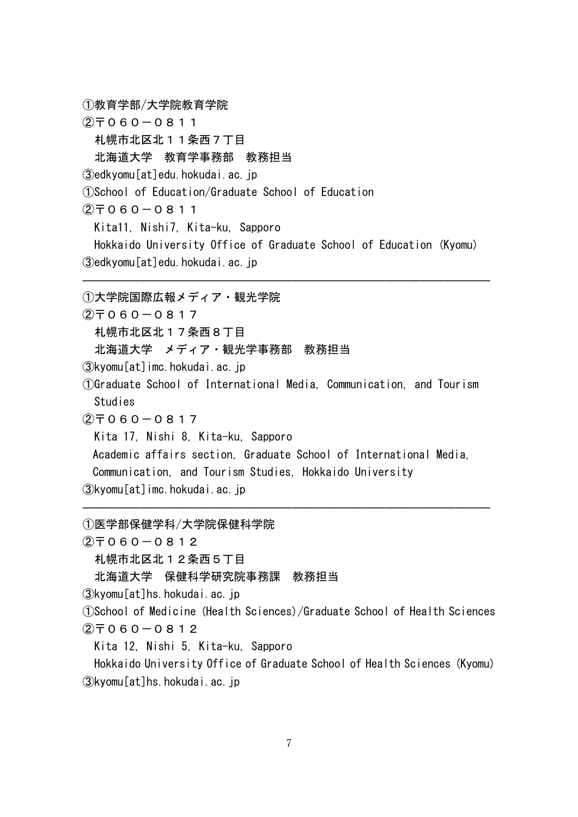①教育学部/大学院教育学院

 $(2)$ <sup> $\top$ </sup>060-0811

札幌市北区北11条西7丁目

北海道大学 教育学事務部 教務担当

③edkyomu[at]edu.hokudai.ac.jp

①School of Education/Graduate School of Education

 $(2)$   $\overline{7}$  0 6 0  $-$  0 8 1 1

Kita11, Nishi7, Kita-ku, Sapporo

Hokkaido University Office of Graduate School of Education (Kyomu) ③edkyomu[at]edu.hokudai.ac.jp

―――――――――――――――――――――――――――――――――――

①大学院国際広報メディア・観光学院

 $(2)$   $\overline{7}$  060  $-$  0817

札幌市北区北17条西8丁目

北海道大学 メディア・観光学事務部 教務担当

③kyomu[at]imc.hokudai.ac.jp

①Graduate School of International Media, Communication, and Tourism Studies

 $(2)$   $\overline{7}$  0 6 0 - 0 8 1 7

Kita 17, Nishi 8, Kita-ku, Sapporo

Academic affairs section, Graduate School of International Media,

―――――――――――――――――――――――――――――――――――

Communication, and Tourism Studies, Hokkaido University

③kyomu[at]imc.hokudai.ac.jp

①医学部保健学科/大学院保健科学院

 $(2)$   $\overline{7}$  0 6 0 - 0 8 1 2

札幌市北区北12条西5丁目

北海道大学 保健科学研究院事務課 教務担当

③kyomu[at]hs.hokudai.ac.jp

①School of Medicine (Health Sciences)/Graduate School of Health Sciences  $(2)$   $\overline{7}$  060  $-$  0812

Kita 12, Nishi 5, Kita-ku, Sapporo

Hokkaido University Office of Graduate School of Health Sciences (Kyomu) ③kyomu[at]hs.hokudai.ac.jp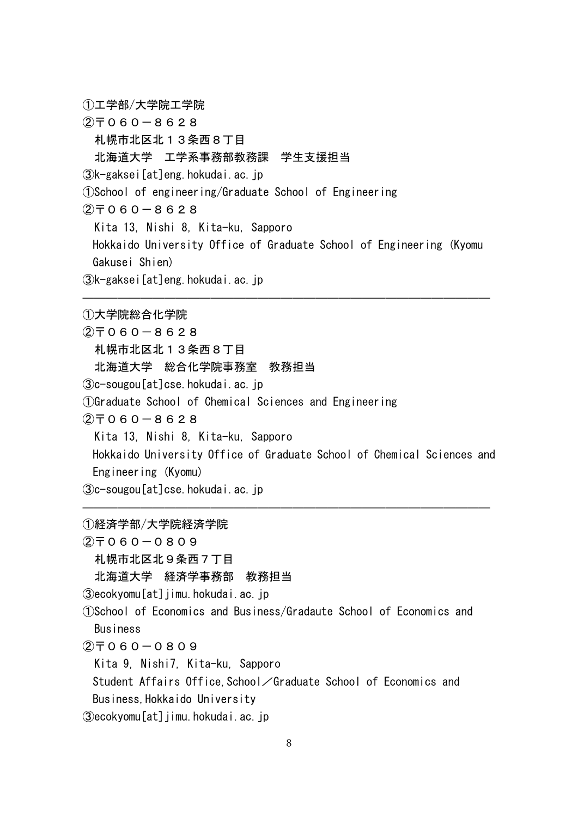①工学部/大学院工学院

 $(2)$   $\overline{7}$  0 6 0 - 8 6 2 8

札幌市北区北13条西8丁目

北海道大学 工学系事務部教務課 学生支援担当

③k-gaksei[at]eng.hokudai.ac.jp

①School of engineering/Graduate School of Engineering

 $(2)$   $\overline{7}$  0 6 0  $-$  8 6 2 8

Kita 13, Nishi 8, Kita-ku, Sapporo

Hokkaido University Office of Graduate School of Engineering (Kyomu Gakusei Shien)

―――――――――――――――――――――――――――――――――――

③k-gaksei[at]eng.hokudai.ac.jp

①大学院総合化学院

 $(2)$ <sup> $-$ </sup> 060  $-$  8628 札幌市北区北13条西8丁目 北海道大学 総合化学院事務室 教務担当 ③c-sougou[at]cse.hokudai.ac.jp ①Graduate School of Chemical Sciences and Engineering  $(2)$  $\overline{7}060 - 8628$ Kita 13, Nishi 8, Kita-ku, Sapporo Hokkaido University Office of Graduate School of Chemical Sciences and Engineering (Kyomu) ③c-sougou[at]cse.hokudai.ac.jp

―――――――――――――――――――――――――――――――――――

①経済学部/大学院経済学院

 $(2)$ <sup> $= 060 - 0809$ </sup>

札幌市北区北9条西7丁目

北海道大学 経済学事務部 教務担当

③ecokyomu[at]jimu.hokudai.ac.jp

①School of Economics and Business/Gradaute School of Economics and Business

 $(2)$ <sup> $= 060 - 0809$ </sup>

Kita 9, Nishi7, Kita-ku, Sapporo

Student Affairs Office, School/Graduate School of Economics and Business,Hokkaido University

③ecokyomu[at]jimu.hokudai.ac.jp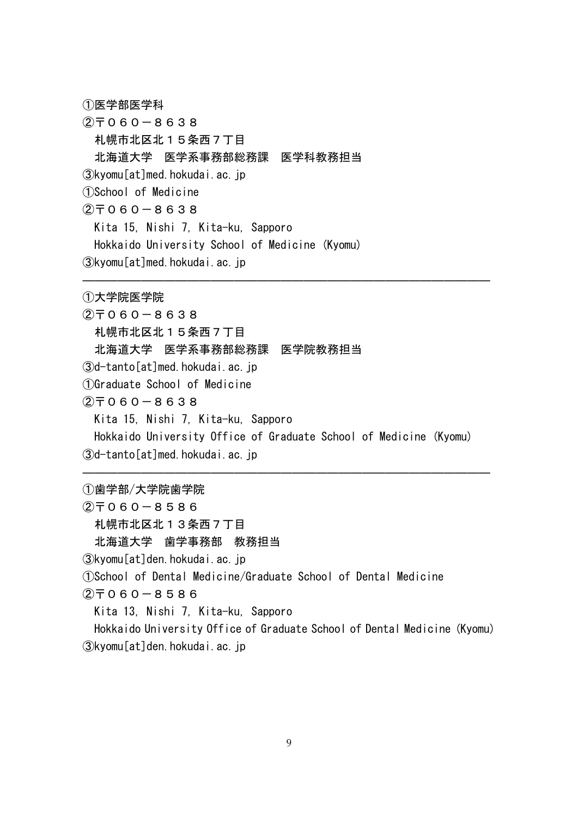①医学部医学科

 $(2)$ <sup> $\top$ </sup>060-8638 札幌市北区北15条西7丁目 北海道大学 医学系事務部総務課 医学科教務担当 ③kyomu[at]med.hokudai.ac.jp ①School of Medicine  $(2)$   $\overline{7}$  0 6 0 - 8 6 3 8 Kita 15, Nishi 7, Kita-ku, Sapporo Hokkaido University School of Medicine (Kyomu) ③kyomu[at]med.hokudai.ac.jp

①大学院医学院  $(2)$   $\overline{7}$  0 6 0 - 8 6 3 8 札幌市北区北15条西7丁目 北海道大学 医学系事務部総務課 医学院教務担当 ③d-tanto[at]med.hokudai.ac.jp ①Graduate School of Medicine  $(2)$   $\overline{7}$  0 6 0 - 8 6 3 8 Kita 15, Nishi 7, Kita-ku, Sapporo Hokkaido University Office of Graduate School of Medicine (Kyomu) ③d-tanto[at]med.hokudai.ac.jp

―――――――――――――――――――――――――――――――――――

―――――――――――――――――――――――――――――――――――

①歯学部/大学院歯学院

 $(2)$  $\overline{7}060 - 8586$ 

札幌市北区北13条西7丁目 北海道大学 歯学事務部 教務担当

③kyomu[at]den.hokudai.ac.jp

①School of Dental Medicine/Graduate School of Dental Medicine

 $(2)$ <sup> $\top$ </sup>060-8586

Kita 13, Nishi 7, Kita-ku, Sapporo

Hokkaido University Office of Graduate School of Dental Medicine (Kyomu) ③kyomu[at]den.hokudai.ac.jp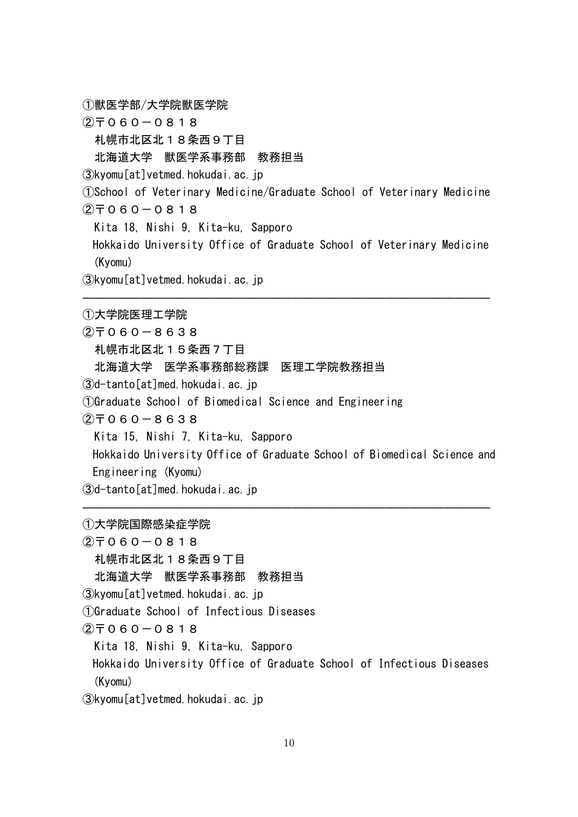①獣医学部/大学院獣医学院

 $(2)$   $\overline{7}$  0 6 0 - 0 8 1 8

札幌市北区北18条西9丁目

#### 北海道大学 獣医学系事務部 教務担当

③kyomu[at]vetmed.hokudai.ac.jp

①School of Veterinary Medicine/Graduate School of Veterinary Medicine  $(2)$   $\overline{7}$  0 6 0  $-$  0 8 1 8

Kita 18, Nishi 9, Kita-ku, Sapporo

Hokkaido University Office of Graduate School of Veterinary Medicine (Kyomu)

―――――――――――――――――――――――――――――――――――

③kyomu[at]vetmed.hokudai.ac.jp

①大学院医理工学院

 $(2)$  $7060 - 8638$ 札幌市北区北15条西7丁目 北海道大学 医学系事務部総務課 医理工学院教務担当 ③d-tanto[at]med.hokudai.ac.jp ①Graduate School of Biomedical Science and Engineering  $(2)$  $\overline{7}$ 060-8638 Kita 15, Nishi 7, Kita-ku, Sapporo Hokkaido University Office of Graduate School of Biomedical Science and Engineering (Kyomu) ③d-tanto[at]med.hokudai.ac.jp

―――――――――――――――――――――――――――――――――――

①大学院国際感染症学院

 $(2)$ <sup> $-060-0818$ </sup> 札幌市北区北18条西9丁目 北海道大学 獣医学系事務部 教務担当 ③kyomu[at]vetmed.hokudai.ac.jp ①Graduate School of Infectious Diseases  $(2)$   $\overline{7}$  0 6 0  $-$  0 8 1 8

Kita 18, Nishi 9, Kita-ku, Sapporo Hokkaido University Office of Graduate School of Infectious Diseases (Kyomu)

③kyomu[at]vetmed.hokudai.ac.jp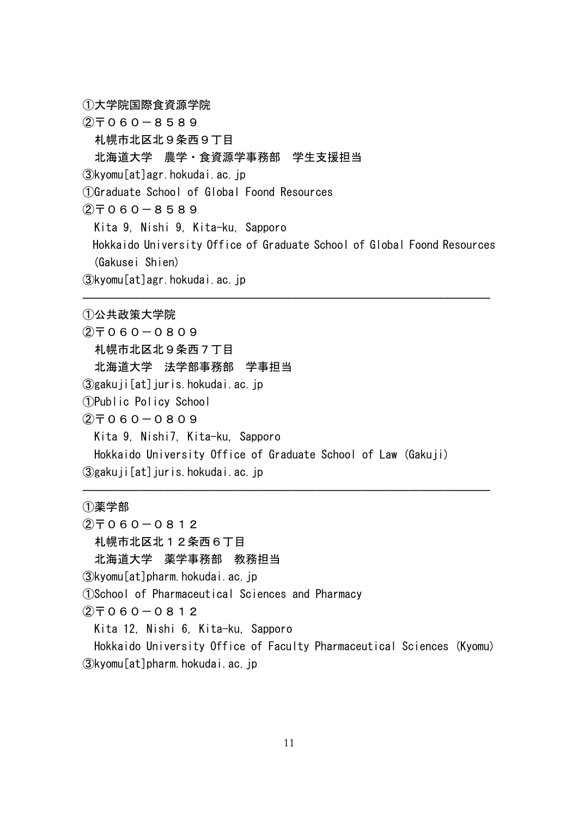①大学院国際食資源学院

 $(2)$ <sup> $7$ </sup>060-8589

札幌市北区北9条西9丁目

北海道大学 農学・食資源学事務部 学生支援担当

③kyomu[at]agr.hokudai.ac.jp

①Graduate School of Global Foond Resources

 $(2)$   $\overline{7}$  0 6 0  $-$  8 5 8 9

Kita 9, Nishi 9, Kita-ku, Sapporo

Hokkaido University Office of Graduate School of Global Foond Resources (Gakusei Shien)

―――――――――――――――――――――――――――――――――――

③kyomu[at]agr.hokudai.ac.jp

①公共政策大学院

 $(2)$ <sup> $= 060 - 0809$ </sup> 札幌市北区北9条西7丁目 北海道大学 法学部事務部 学事担当 ③gakuji[at]juris.hokudai.ac.jp ①Public Policy School  $(2)$   $\overline{7}$  0 6 0 - 0 8 0 9 Kita 9, Nishi7, Kita-ku, Sapporo Hokkaido University Office of Graduate School of Law (Gakuji) ③gakuji[at]juris.hokudai.ac.jp

①薬学部

 $(2)$   $\overline{7}$  0 6 0  $-$  0 8 1 2

札幌市北区北12条西6丁目

北海道大学 薬学事務部 教務担当

③kyomu[at]pharm.hokudai.ac.jp

①School of Pharmaceutical Sciences and Pharmacy

 $(2)$   $\overline{7}$  0 6 0 - 0 8 1 2

Kita 12, Nishi 6, Kita-ku, Sapporo

Hokkaido University Office of Faculty Pharmaceutical Sciences (Kyomu) ③kyomu[at]pharm.hokudai.ac.jp

―――――――――――――――――――――――――――――――――――